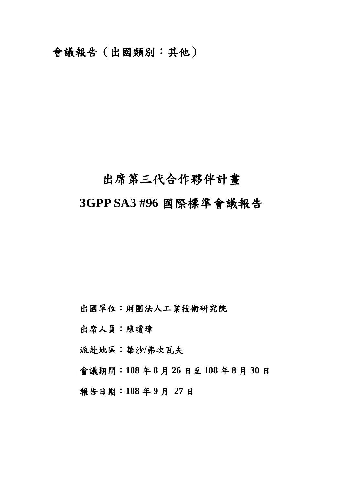會議報告(出國類別:其他)

# 出席第三代合作夥伴計畫 **3GPP SA3 #96** 國際標準會議報告

出國單位:財團法人工業技術研究院

出席人員:陳瓊璋

派赴地區:華沙**/**弗次瓦夫

會議期間:**108** 年 **8** 月 **26** 日至 **108** 年 **8** 月 **30** 日

報告日期:**108** 年 **9** 月 **27** 日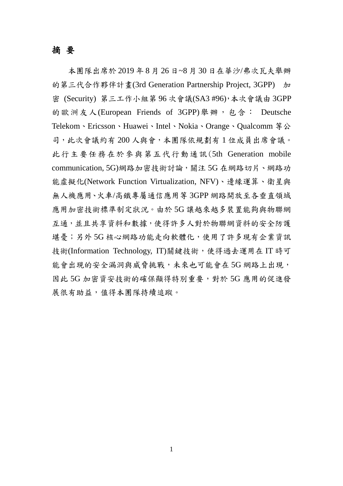#### <span id="page-1-0"></span>摘 要

本團隊出席於 2019 年 8 月 26 日~8 月 30 日在華沙/弗次瓦夫舉辦 的第三代合作夥伴計畫(3rd Generation Partnership Project, 3GPP) 加 密 (Security) 第三工作小組第 96 次會議(SA3 #96),本次會議由 3GPP 的歐洲友人(European Friends of 3GPP)舉辦,包含: Deutsche Telekom、Ericsson、Huawei、Intel、Nokia、Orange、Qualcomm 等公 司,此次會議約有 200 人與會,本團隊依規劃有 1 位成員出席會議。 此行主要任務在於參與第五代行動通訊(5th Generation mobile communication, 5G)網路加密技術討論,關注 5G 在網路切片、網路功 能虛擬化(Network Function Virtualization, NFV)、邊緣運算、衛星與 無人機應用、火車/高鐵專屬通信應用等 3GPP 網路開放至各垂直領域 應用加密技術標準制定狀況。由於 5G 讓越來越多裝置能夠與物聯網 互通,並且共享資料和數據,使得許多人對於物聯網資料的安全防護 堪憂;另外 5G 核心網路功能走向軟體化,使用了許多現有企業資訊 技術(Information Technology, IT)關鍵技術,使得過去運用在 IT 時可 能會出現的安全漏洞與威脅挑戰,未來也可能會在 5G 網路上出現, 因此 5G 加密資安技術的確保顯得特別重要,對於 5G 應用的促進發 展很有助益,值得本團隊持續追蹤。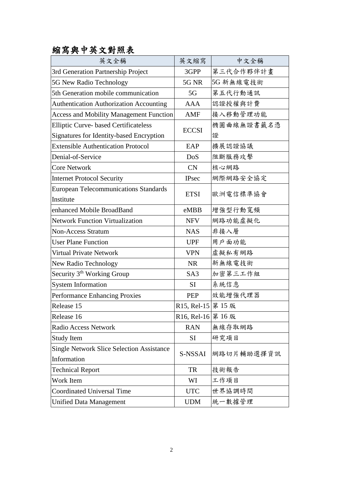## <span id="page-2-0"></span>縮寫與中英文對照表

| 英文全稱                                             | 英文縮寫               | 中文全稱       |  |
|--------------------------------------------------|--------------------|------------|--|
| 3rd Generation Partnership Project               | 3GPP               | 第三代合作夥伴計畫  |  |
| 5G New Radio Technology                          | 5G NR              | 5G 新無線電技術  |  |
| 5th Generation mobile communication              | 5G                 | 第五代行動通訊    |  |
| <b>Authentication Authorization Accounting</b>   | <b>AAA</b>         | 認證授權與計費    |  |
| <b>Access and Mobility Management Function</b>   | AMF                | 接入移動管理功能   |  |
| <b>Elliptic Curve-based Certificateless</b>      | <b>ECCSI</b>       | 橢圓曲線無證書籤名憑 |  |
| Signatures for Identity-based Encryption         |                    | 證          |  |
| <b>Extensible Authentication Protocol</b>        | EAP                | 擴展認證協議     |  |
| Denial-of-Service                                | DoS                | 阻斷服務攻擊     |  |
| <b>Core Network</b>                              | <b>CN</b>          | 核心網路       |  |
| <b>Internet Protocol Security</b>                | <b>IPsec</b>       | 網際網路安全協定   |  |
| <b>European Telecommunications Standards</b>     |                    |            |  |
| <b>ETSI</b><br>Institute                         |                    | 歐洲電信標準協會   |  |
| enhanced Mobile BroadBand                        | eMBB               | 增強型行動寬頻    |  |
| <b>Network Function Virtualization</b>           | <b>NFV</b>         | 網路功能虛擬化    |  |
| <b>Non-Access Stratum</b>                        | <b>NAS</b>         | 非接入層       |  |
| <b>User Plane Function</b>                       | <b>UPF</b>         | 用戶面功能      |  |
| <b>Virtual Private Network</b>                   | <b>VPN</b>         | 虚擬私有網路     |  |
| New Radio Technology                             | <b>NR</b>          | 新無線電技術     |  |
| Security 3 <sup>th</sup> Working Group           | SA <sub>3</sub>    | 加密第三工作組    |  |
| <b>System Information</b>                        | <b>SI</b>          | 系統信息       |  |
| <b>Performance Enhancing Proxies</b>             | PEP                | 效能增強代理器    |  |
| Release 15                                       | R15, Rel-15 第 15 版 |            |  |
| Release 16                                       | R16, Rel-16 第 16 版 |            |  |
| Radio Access Network                             | <b>RAN</b>         | 無線存取網路     |  |
| <b>Study Item</b>                                | SI                 | 研究項目       |  |
| <b>Single Network Slice Selection Assistance</b> |                    |            |  |
| Information                                      | S-NSSAI            | 網路切片輔助選擇資訊 |  |
| <b>Technical Report</b>                          | TR                 | 技術報告       |  |
| Work Item                                        | WI                 | 工作項目       |  |
| Coordinated Universal Time                       | <b>UTC</b>         | 世界協調時間     |  |
| <b>Unified Data Management</b>                   | <b>UDM</b>         | 統一數據管理     |  |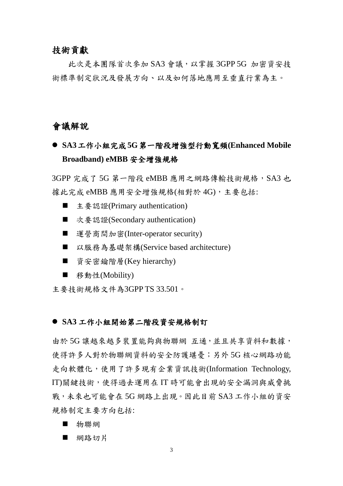#### <span id="page-3-0"></span>技術貢獻

此次是本團隊首次參加 SA3 會議,以掌握 3GPP 5G 加密資安技 術標準制定狀況及發展方向、以及如何落地應用至垂直行業為主。

#### <span id="page-3-1"></span>會議解說

 **SA3**工作小組完成**5G**第一階段增強型行動寬頻**(Enhanced Mobile Broadband) eMBB** 安全增強規格

3GPP 完成了 5G 第一階段 eMBB 應用之網路傳輸技術規格, SA3 也 據此完成 eMBB 應用安全增強規格(相對於 4G), 主要包括:

- 主要認證(Primary authentication)
- 次要認證(Secondary authentication)
- 運營商間加密(Inter-operator security)
- 以服務為基礎架構(Service based architecture)
- 資安密鑰階層(Key hierarchy)
- 移動性(Mobility)

主要技術規格文件為3GPP TS 33.501。

#### ● SA3 工作小組開始第二階段資安規格制訂

由於 5G 讓越來越多裝置能夠與物聯網 互通,並且共享資料和數據, 使得許多人對於物聯網資料的安全防護堪憂;另外 5G 核心網路功能 走向軟體化,使用了許多現有企業資訊技術(Information Technology, IT)關鍵技術,使得過去運用在 IT 時可能會出現的安全漏洞與威脅挑 戰,未來也可能會在 5G 網路上出現。因此目前 SA3 工作小組的資安 規格制定主要方向包括:

- 物聯網
- 網路切片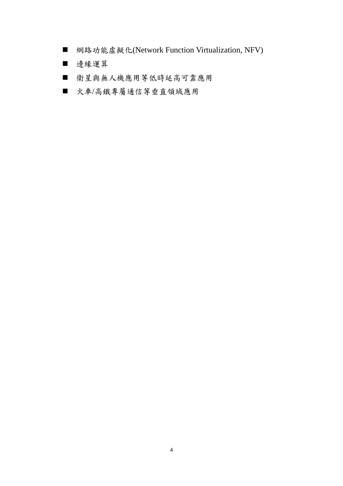- 網路功能虛擬化(Network Function Virtualization, NFV)
- 邊緣運算
- 衛星與無人機應用等低時延高可靠應用
- 火車/高鐵專屬通信等垂直領域應用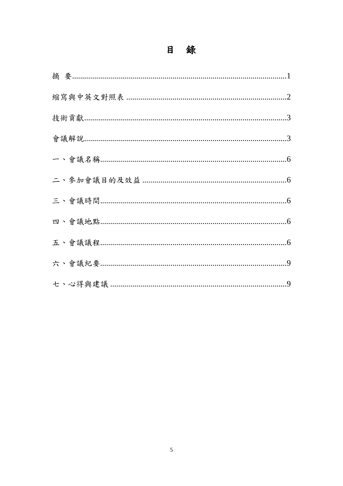## 目 錄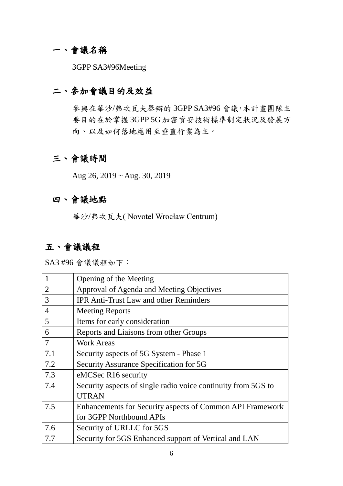## <span id="page-6-0"></span>一、會議名稱

3GPP SA3#96Meeting

## <span id="page-6-1"></span>二、參加會議目的及效益

參與在華沙/弗次瓦夫舉辦的 3GPP SA3#96 會議,本計畫團隊主 要目的在於掌握 3GPP 5G 加密資安技術標準制定狀況及發展方 向、以及如何落地應用至垂直行業為主。

## <span id="page-6-2"></span>三、會議時間

Aug 26, 2019 ~ Aug. 30, 2019

#### <span id="page-6-3"></span>四、會議地點

華沙/弗次瓦夫( Novotel Wrocław Centrum)

### <span id="page-6-4"></span>五、會議議程

SA3 #96 會議議程如下:

|                | Opening of the Meeting                                        |
|----------------|---------------------------------------------------------------|
| $\overline{2}$ | Approval of Agenda and Meeting Objectives                     |
| 3              | <b>IPR Anti-Trust Law and other Reminders</b>                 |
| $\overline{4}$ | <b>Meeting Reports</b>                                        |
| 5              | Items for early consideration                                 |
| 6              | Reports and Liaisons from other Groups                        |
| 7              | <b>Work Areas</b>                                             |
| 7.1            | Security aspects of 5G System - Phase 1                       |
| 7.2            | Security Assurance Specification for 5G                       |
| 7.3            | eMCSec R16 security                                           |
| 7.4            | Security aspects of single radio voice continuity from 5GS to |
|                | <b>UTRAN</b>                                                  |
| 7.5            | Enhancements for Security aspects of Common API Framework     |
|                | for 3GPP Northbound APIs                                      |
| 7.6            | Security of URLLC for 5GS                                     |
| 7.7            | Security for 5GS Enhanced support of Vertical and LAN         |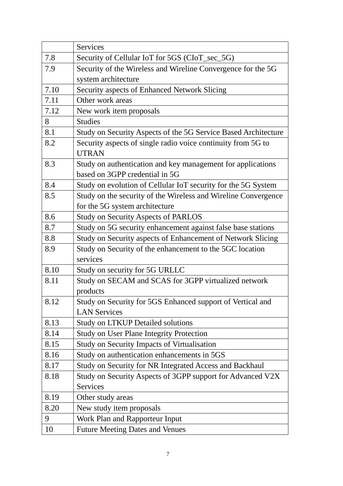|      | Services                                                       |  |
|------|----------------------------------------------------------------|--|
| 7.8  | Security of Cellular IoT for 5GS (CIoT_sec_5G)                 |  |
| 7.9  | Security of the Wireless and Wireline Convergence for the 5G   |  |
|      | system architecture                                            |  |
| 7.10 | Security aspects of Enhanced Network Slicing                   |  |
| 7.11 | Other work areas                                               |  |
| 7.12 | New work item proposals                                        |  |
| 8    | <b>Studies</b>                                                 |  |
| 8.1  | Study on Security Aspects of the 5G Service Based Architecture |  |
| 8.2  | Security aspects of single radio voice continuity from 5G to   |  |
|      | <b>UTRAN</b>                                                   |  |
| 8.3  | Study on authentication and key management for applications    |  |
|      | based on 3GPP credential in 5G                                 |  |
| 8.4  | Study on evolution of Cellular IoT security for the 5G System  |  |
| 8.5  | Study on the security of the Wireless and Wireline Convergence |  |
|      | for the 5G system architecture                                 |  |
| 8.6  | <b>Study on Security Aspects of PARLOS</b>                     |  |
| 8.7  | Study on 5G security enhancement against false base stations   |  |
| 8.8  | Study on Security aspects of Enhancement of Network Slicing    |  |
| 8.9  | Study on Security of the enhancement to the 5GC location       |  |
|      | services                                                       |  |
| 8.10 | Study on security for 5G URLLC                                 |  |
| 8.11 | Study on SECAM and SCAS for 3GPP virtualized network           |  |
|      | products                                                       |  |
| 8.12 | Study on Security for 5GS Enhanced support of Vertical and     |  |
|      | <b>LAN Services</b>                                            |  |
| 8.13 | <b>Study on LTKUP Detailed solutions</b>                       |  |
| 8.14 | <b>Study on User Plane Integrity Protection</b>                |  |
| 8.15 | Study on Security Impacts of Virtualisation                    |  |
| 8.16 | Study on authentication enhancements in 5GS                    |  |
| 8.17 | Study on Security for NR Integrated Access and Backhaul        |  |
| 8.18 | Study on Security Aspects of 3GPP support for Advanced V2X     |  |
|      | <b>Services</b>                                                |  |
| 8.19 | Other study areas                                              |  |
| 8.20 | New study item proposals                                       |  |
| 9    | Work Plan and Rapporteur Input                                 |  |
| 10   | <b>Future Meeting Dates and Venues</b>                         |  |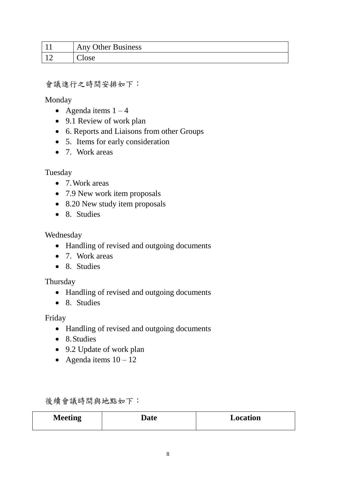| <b>Any Other Business</b> |
|---------------------------|
| Close                     |

#### 會議進行之時間安排如下:

Monday

- Agenda items  $1 4$
- 9.1 Review of work plan
- 6. Reports and Liaisons from other Groups
- 5. Items for early consideration
- 7. Work areas

Tuesday

- 7. Work areas
- 7.9 New work item proposals
- 8.20 New study item proposals
- 8. Studies

#### Wednesday

- Handling of revised and outgoing documents
- 7. Work areas
- 8. Studies

Thursday

- Handling of revised and outgoing documents
- 8. Studies

Friday

- Handling of revised and outgoing documents
- 8. Studies
- 9.2 Update of work plan
- Agenda items  $10 12$

後續會議時間與地點如下:

| <b>Meeting</b> | Date | Location |
|----------------|------|----------|
|                |      |          |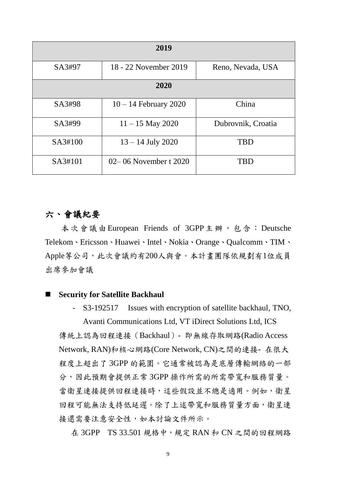| 2019    |                           |                    |  |
|---------|---------------------------|--------------------|--|
| SA3#97  | 18 - 22 November 2019     | Reno, Nevada, USA  |  |
| 2020    |                           |                    |  |
| SA3#98  | $10 - 14$ February 2020   | China              |  |
| SA3#99  | $11 - 15$ May 2020        | Dubrovnik, Croatia |  |
| SA3#100 | $13 - 14$ July 2020       | <b>TBD</b>         |  |
| SA3#101 | $02 - 06$ November t 2020 | <b>TBD</b>         |  |

#### <span id="page-9-0"></span>六、會議紀要

本次會議由European Friends of 3GPP主辦, 包含: Deutsche Telekom、Ericsson、Huawei、Intel、Nokia、Orange、Qualcomm、TIM、 Apple等公司,此次會議約有200人與會。本計畫團隊依規劃有1位成員 出席參加會議

#### **Security for Satellite Backhaul**

- S3-192517 Issues with encryption of satellite backhaul, TNO,

Avanti Communications Ltd, VT iDirect Solutions Ltd, ICS 傳統上認為回程連接(Backhaul)- 即無線存取網路(Radio Access Network, RAN)和核心網路(Core Network, CN)之間的連接- 在很大 程度上超出了 3GPP 的範圍。它通常被認為是底層傳輸網絡的一部 分,因此預期會提供正常 3GPP 操作所需的所需帶寬和服務質量。 當衛星連接提供回程連接時,這些假設並不總是適用。例如,衛星 回程可能無法支持低延遲。除了上述帶寬和服務質量方面,衛星連 接還需要注意安全性,如本討論文件所示。

在 3GPP TS 33.501 規格中, 規定 RAN 和 CN 之間的回程網路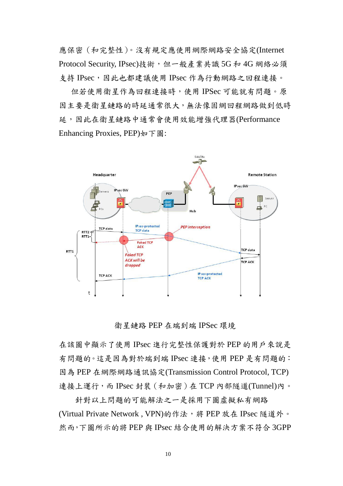應保密(和完整性)。沒有規定應使用網際網路安全協定(Internet Protocol Security, IPsec)技術,但一般產業共識 5G 和 4G 網絡必須 支持 IPsec,因此也都建議使用 IPsec 作為行動網路之回程連接。

 但若使用衛星作為回程連接時,使用 IPSec 可能就有問題。原 因主要是衛星鏈路的時延通常很大,無法像固網回程網路做到低時 延,因此在衛星鏈路中通常會使用效能增強代理器(Performance Enhancing Proxies, PEP)如下圖:



衛星鏈路 PEP 在端到端 IPSec 環境

在該圖中顯示了使用 IPsec 進行完整性保護對於 PEP 的用戶來說是 有問題的。這是因為對於端到端 IPsec 連接,使用 PEP 是有問題的: 因為 PEP 在網際網路通訊協定(Transmission Control Protocol, TCP) 連接上運行,而 IPsec 封裝(和加密)在 TCP 內部隧道(Tunnel)內。

針對以上問題的可能解法之一是採用下圖虛擬私有網路 (Virtual Private Network, VPN)的作法,將 PEP 放在 IPsec 隧道外。 然而,下圖所示的將 PEP 與 IPsec 結合使用的解決方案不符合 3GPP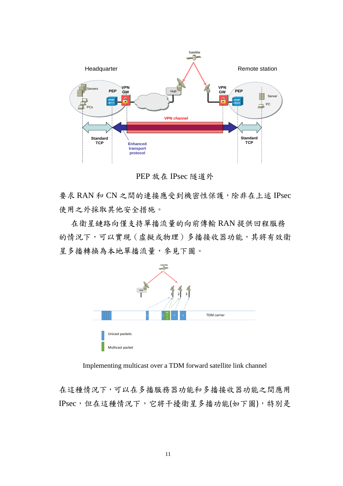

PEP 放在 IPsec 隧道外

要求 RAN 和 CN 之間的連接應受到機密性保護,除非在上述 IPsec 使用之外採取其他安全措施。

 在衛星鏈路向僅支持單播流量的向前傳輸 RAN 提供回程服務 的情況下,可以實現(虛擬或物理)多播接收器功能,其將有效衛 星多播轉換為本地單播流量,參見下圖。



Implementing multicast over a TDM forward satellite link channel

在這種情況下,可以在多播服務器功能和多播接收器功能之間應用 IPsec,但在這種情況下,它將干擾衛星多播功能(如下圖),特別是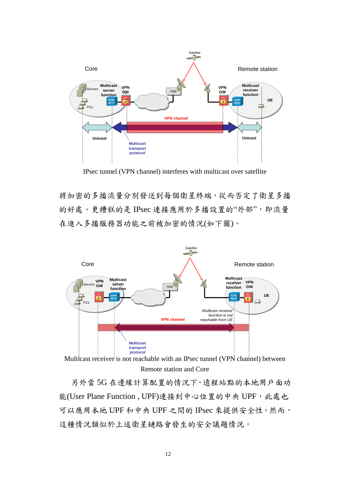

IPsec tunnel (VPN channel) interferes with multicast over satellite

將加密的多播流量分別發送到每個衛星終端,從而否定了衛星多播 的好處。更糟糕的是 IPsec 連接應用於多播設置的"外部",即流量 在進入多播服務器功能之前被加密的情況(如下圖)。



Multicast receiver is not reachable with an IPsec tunnel (VPN channel) between Remote station and Core

另外當 5G 在邊緣計算配置的情況下,遠程站點的本地用戶面功 能(User Plane Function, UPF)連接到中心位置的中央 UPF, 此處也 可以應用本地 UPF 和中央 UPF 之間的 IPsec 來提供安全性。然而, 這種情況類似於上述衛星鏈路會發生的安全議題情況。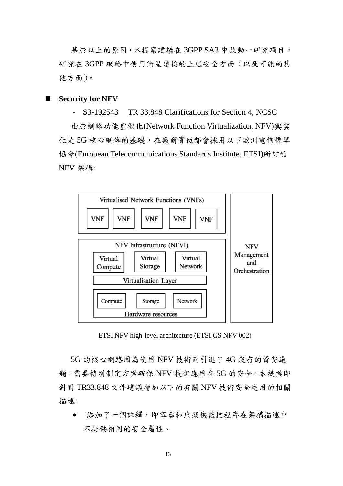基於以上的原因,本提案建議在 3GPP SA3 中啟動一研究項目, 研究在 3GPP 網絡中使用衛星連接的上述安全方面(以及可能的其 他方面)。

#### **Security for NFV**

- S3-192543 TR 33.848 Clarifications for Section 4, NCSC

由於網路功能虛擬化(Network Function Virtualization, NFV)與雲 化是 5G 核心網路的基礎,在廠商實做都會採用以下歐洲電信標準 協會(European Telecommunications Standards Institute, ETSI)所訂的 NFV 架構:



ETSI NFV high-level architecture (ETSI GS NFV 002)

<span id="page-13-0"></span>5G 的核心網路因為使用 NFV 技術而引進了 4G 沒有的資安議 題,需要特別制定方案確保 NFV 技術應用在 5G 的安全。本提案即 針對 TR33.848 文件建議增加以下的有關 NFV 技術安全應用的相關 描述:

 添加了一個註釋,即容器和虛擬機監控程序在架構描述中 不提供相同的安全屬性。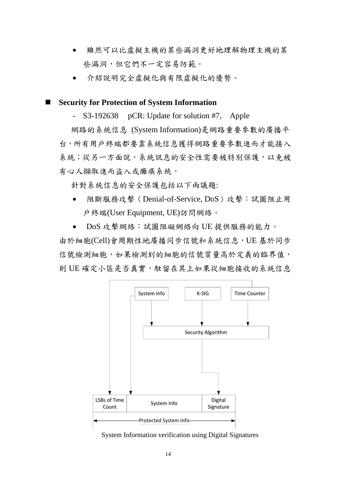- 雖然可以比虛擬主機的某些漏洞更好地理解物理主機的某 些漏洞,但它們不一定容易防範。
- 介紹說明完全虛擬化與有限虛擬化的優勢。

#### **Security for Protection of System Information**

S3-192638 pCR: Update for solution #7, Apple

網路的系統信息 (System Information)是網路重要參數的廣播平 台,所有用戶終端都要靠系統信息獲得網路重要參數進而才能接入 条統;從另一方面說,系統訊息的安全性需要被特別保護,以免被 有心人擷取進而盜入或癱瘓系統。

針對系統信息的安全保護包括以下兩議題:

- 阻斷服務攻擊(Denial-of-Service, DoS)攻擊:試圖阻止用 戶終端(User Equipment, UE)訪問網絡。
- DoS 攻擊網絡:試圖阻礙網絡向 UE 提供服務的能力。

由於細胞(Cell)會周期性地廣播同步信號和系統信息,UE 基於同步 信號檢測細胞,如果檢測到的細胞的信號質量高於定義的臨界值, 則 UE 確定小區是否真實,駐留在其上如果從細胞接收的系統信息



System Information verification using Digital Signatures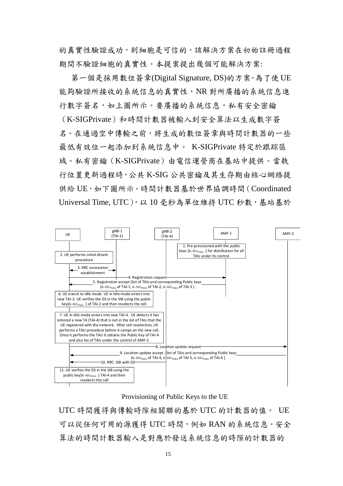的真實性驗證成功,則細胞是可信的。該解決方案在初始註冊過程 期間不驗證細胞的真實性。本提案提出幾個可能解決方案:

 第一個是採用數位簽章(Digital Signature, DS)的方案。為了使 UE 能夠驗證所接收的系統信息的真實性,NR 對所廣播的系統信息進 行數字簽名,如上圖所示。要廣播的系統信息,私有安全密鑰 (K-SIGPrivate)和時間計數器被輸入到安全算法以生成數字簽 名。在通過空中傳輸之前,將生成的數位簽章與時間計數器的一些 最低有效位一起添加到系統信息中。 K-SIGPrivate 特定於跟踪區 域。私有密鑰(K-SIGPrivate)由電信運營商在基站中提供。當執 行位置更新過程時,公共 K-SIG 公共密鑰及其生存期由核心網絡提 供給 UE, 如下圖所示。時間計數器基於世界協調時間 (Coordinated Universal Time, UTC), 以 10 毫秒為單位維持 UTC 秒數, 基站基於



Provisioning of Public Keys to the UE

UTC 時間獲得與傳輸時隙相關聯的基於 UTC 的計數器的值。 UE 可以從任何可用的源獲得 UTC 時間,例如 RAN 的系統信息。安全 算法的時間計數器輸入是對應於發送系統信息的時隙的計數器的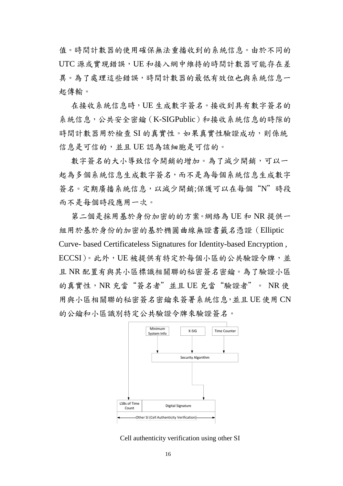值。時間計數器的使用確保無法重播收到的系統信息。由於不同的 UTC 源或實現錯誤,UE 和接入網中維持的時間計數器可能存在差 異。為了處理這些錯誤,時間計數器的最低有效位也與系統信息一 起傳輸。

在接收系統信息時,UE 生成數字簽名。接收到具有數字簽名的 系統信息,公共安全密鑰(K-SIGPublic)和接收系統信息的時隙的 時間計數器用於檢查 SI 的真實性。如果真實性驗證成功,則係統 信息是可信的,並且 UE 認為該細胞是可信的。

數字簽名的大小導致信令開銷的增加。為了減少開銷,可以一 起為多個系統信息生成數字簽名,而不是為每個系統信息生成數字 簽名。定期廣播系統信息,以減少開銷;保護可以在每個"N"時段 而不是每個時段應用一次。

第二個是採用基於身份加密的的方案。網絡為 UE 和 NR 提供一 組用於基於身份的加密的基於橢圓曲線無證書籤名憑證(Elliptic Curve- based Certificateless Signatures for Identity-based Encryption , ECCSI)。此外,UE 被提供有特定於每個小區的公共驗證令牌,並 且 NR 配置有與其小區標識相關聯的秘密簽名密鑰。為了驗證小區 的真實性,NR 充當"簽名者"並且 UE 充當"驗證者"。 NR 使 用與小區相關聯的秘密簽名密鑰來簽署系統信息,並且 UE 使用 CN 的公鑰和小區識別特定公共驗證令牌來驗證簽名。



Cell authenticity verification using other SI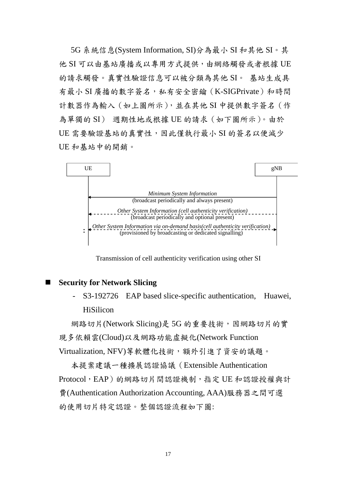5G 系統信息(System Information, SI)分為最小 SI 和其他 SI。其 他 SI 可以由基站廣播或以專用方式提供,由網絡觸發或者根據 UE 的請求觸發。真實性驗證信息可以被分類為其他 SI。 基站生成具 有最小 SI 廣播的數字簽名,私有安全密鑰 (K-SIGPrivate)和時間 計數器作為輸入(如上圖所示),並在其他 SI 中提供數字簽名(作 為單獨的 SI) 週期性地或根據 UE 的請求(如下圖所示)。由於 UE 需要驗證基站的真實性,因此僅執行最小 SI 的簽名以便減少 UE 和基站中的開銷。



Transmission of cell authenticity verification using other SI

#### **Security for Network Slicing**

S3-192726 EAP based slice-specific authentication, Huawei, HiSilicon

網路切片(Network Slicing)是 5G 的重要技術,因網路切片的實 現多依賴雲(Cloud)以及網路功能虛擬化(Network Function Virtualization, NFV)等軟體化技術,額外引進了資安的議題。

本提案建議一種擴展認證協議(Extensible Authentication Protocol, EAP)的網路切片間認證機制, 指定 UE 和認證授權與計 費(Authentication Authorization Accounting, AAA)服務器之間可選 的使用切片特定認證。整個認證流程如下圖: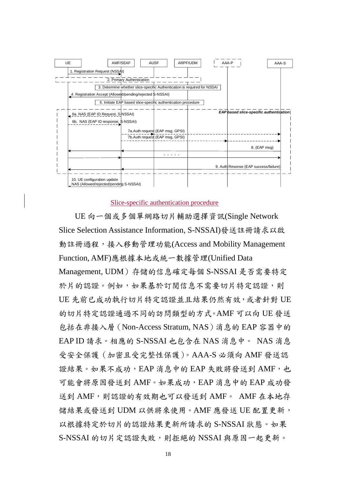

#### Slice-specific authentication procedure

UE 向一個或多個單網路切片輔助選擇資訊(Single Network Slice Selection Assistance Information, S-NSSAI)發送註冊請求以啟 動註冊過程,接入移動管理功能(Access and Mobility Management Function, AMF)應根據本地或統一數據管理(Unified Data Management, UDM)存儲的信息確定每個 S-NSSAI 是否需要特定 於片的認證。例如,如果基於訂閱信息不需要切片特定認證,則 UE 先前已成功執行切片特定認證並且結果仍然有效,或者針對 UE 的切片特定認證通過不同的訪問類型的方式。AMF 可以向 UE 發送 包括在非接入層(Non-Access Stratum, NAS)消息的 EAP 容器中的 EAP ID 請求。相應的 S-NSSAI 也包含在 NAS 消息中。 NAS 消息 受安全保護(加密且受完整性保護)。AAA-S 必須向 AMF 發送認 證結果。如果不成功,EAP 消息中的 EAP 失敗將發送到 AMF,也 可能會將原因發送到 AMF。如果成功,EAP 消息中的 EAP 成功發 送到 AMF, 則認證的有效期也可以發送到 AMF。 AMF 在本地存 儲結果或發送到 UDM 以供將來使用。AMF 應發送 UE 配置更新, 以根據特定於切片的認證結果更新所請求的 S-NSSAI 狀態。如果 S-NSSAI 的切片定認證失敗,則拒絕的 NSSAI 與原因一起更新。